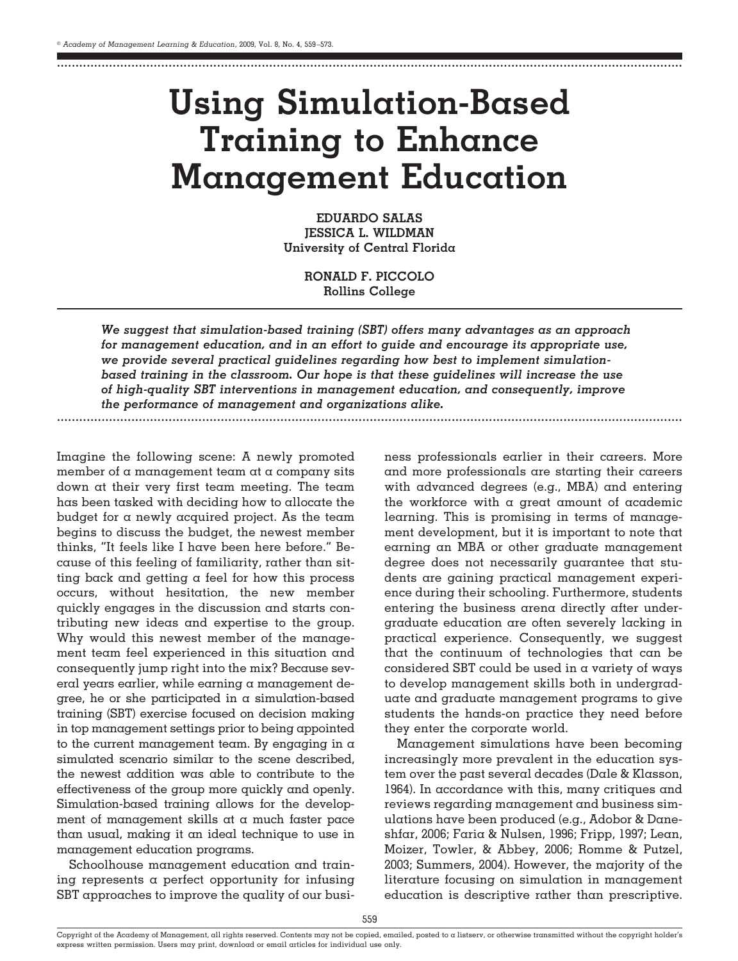........................................................................................................................................................................

# **Using Simulation-Based Training to Enhance Management Education**

**EDUARDO SALAS JESSICA L. WILDMAN University of Central Florida**

> **RONALD F. PICCOLO Rollins College**

*We suggest that simulation-based training (SBT) offers many advantages as an approach for management education, and in an effort to guide and encourage its appropriate use, we provide several practical guidelines regarding how best to implement simulationbased training in the classroom. Our hope is that these guidelines will increase the use of high-quality SBT interventions in management education, and consequently, improve the performance of management and organizations alike.*

Imagine the following scene: A newly promoted member of a management team at a company sits down at their very first team meeting. The team has been tasked with deciding how to allocate the budget for a newly acquired project. As the team begins to discuss the budget, the newest member thinks, "It feels like I have been here before." Because of this feeling of familiarity, rather than sitting back and getting a feel for how this process occurs, without hesitation, the new member quickly engages in the discussion and starts contributing new ideas and expertise to the group. Why would this newest member of the management team feel experienced in this situation and consequently jump right into the mix? Because several years earlier, while earning a management degree, he or she participated in a simulation-based training (SBT) exercise focused on decision making in top management settings prior to being appointed to the current management team. By engaging in a simulated scenario similar to the scene described, the newest addition was able to contribute to the effectiveness of the group more quickly and openly. Simulation-based training allows for the development of management skills at a much faster pace than usual, making it an ideal technique to use in management education programs.

........................................................................................................................................................................

Schoolhouse management education and training represents a perfect opportunity for infusing SBT approaches to improve the quality of our business professionals earlier in their careers. More and more professionals are starting their careers with advanced degrees (e.g., MBA) and entering the workforce with a great amount of academic learning. This is promising in terms of management development, but it is important to note that earning an MBA or other graduate management degree does not necessarily guarantee that students are gaining practical management experience during their schooling. Furthermore, students entering the business arena directly after undergraduate education are often severely lacking in practical experience. Consequently, we suggest that the continuum of technologies that can be considered SBT could be used in a variety of ways to develop management skills both in undergraduate and graduate management programs to give students the hands-on practice they need before they enter the corporate world.

Management simulations have been becoming increasingly more prevalent in the education system over the past several decades (Dale & Klasson, 1964). In accordance with this, many critiques and reviews regarding management and business simulations have been produced (e.g., Adobor & Daneshfar, 2006; Faria & Nulsen, 1996; Fripp, 1997; Lean, Moizer, Towler, & Abbey, 2006; Romme & Putzel, 2003; Summers, 2004). However, the majority of the literature focusing on simulation in management education is descriptive rather than prescriptive.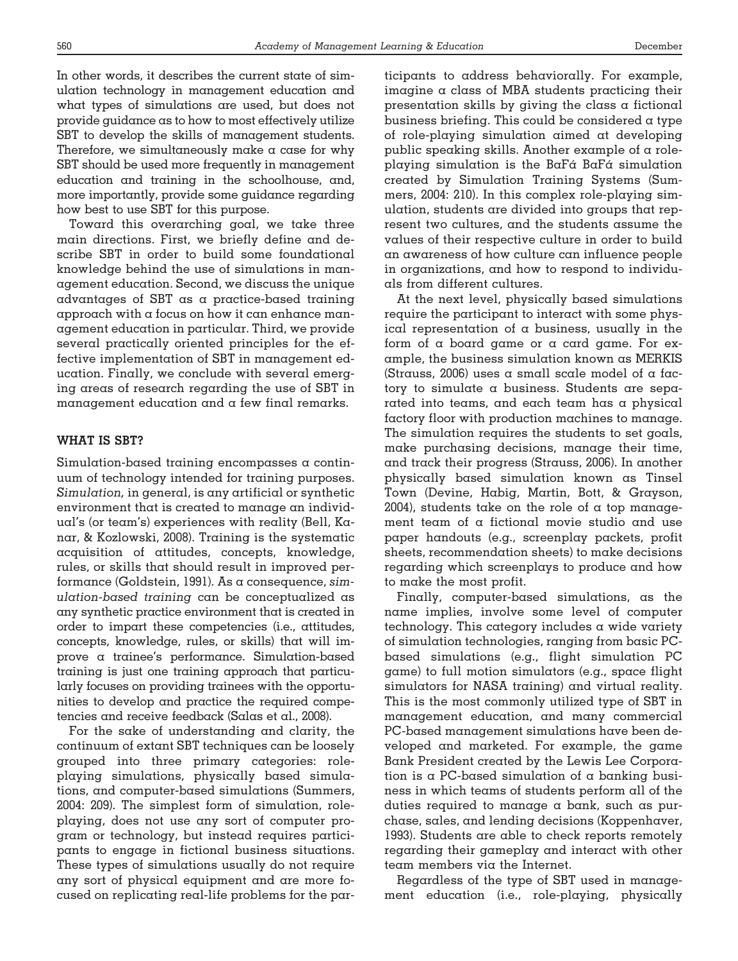In other words, it describes the current state of simulation technology in management education and what types of simulations are used, but does not provide guidance as to how to most effectively utilize SBT to develop the skills of management students. Therefore, we simultaneously make  $\alpha$  case for why SBT should be used more frequently in management education and training in the schoolhouse, and, more importantly, provide some guidance regarding how best to use SBT for this purpose.

Toward this overarching goal, we take three main directions. First, we briefly define and describe SBT in order to build some foundational knowledge behind the use of simulations in management education. Second, we discuss the unique advantages of SBT as a practice-based training approach with a focus on how it can enhance management education in particular. Third, we provide several practically oriented principles for the effective implementation of SBT in management education. Finally, we conclude with several emerging areas of research regarding the use of SBT in management education and a few final remarks.

# **WHAT IS SBT?**

Simulation-based training encompasses a continuum of technology intended for training purposes. *Simulation,* in general, is any artificial or synthetic environment that is created to manage an individual's (or team's) experiences with reality (Bell, Kanar, & Kozlowski, 2008). Training is the systematic acquisition of attitudes, concepts, knowledge, rules, or skills that should result in improved performance (Goldstein, 1991). As a consequence, *simulation-based training* can be conceptualized as any synthetic practice environment that is created in order to impart these competencies (i.e., attitudes, concepts, knowledge, rules, or skills) that will improve a trainee's performance. Simulation-based training is just one training approach that particularly focuses on providing trainees with the opportunities to develop and practice the required competencies and receive feedback (Salas et al., 2008).

For the sake of understanding and clarity, the continuum of extant SBT techniques can be loosely grouped into three primary categories: roleplaying simulations, physically based simulations, and computer-based simulations (Summers, 2004: 209). The simplest form of simulation, roleplaying, does not use any sort of computer program or technology, but instead requires participants to engage in fictional business situations. These types of simulations usually do not require any sort of physical equipment and are more focused on replicating real-life problems for the participants to address behaviorally. For example, imagine a class of MBA students practicing their presentation skills by giving the class a fictional business briefing. This could be considered a type of role-playing simulation aimed at developing public speaking skills. Another example of a roleplaying simulation is the  $BaFá$  Ba $Fá$  simulation created by Simulation Training Systems (Summers, 2004: 210). In this complex role-playing simulation, students are divided into groups that represent two cultures, and the students assume the values of their respective culture in order to build an awareness of how culture can influence people in organizations, and how to respond to individuals from different cultures.

At the next level, physically based simulations require the participant to interact with some physical representation of a business, usually in the form of a board game or a card game. For example, the business simulation known as MERKIS (Strauss, 2006) uses a small scale model of a factory to simulate a business. Students are separated into teams, and each team has a physical factory floor with production machines to manage. The simulation requires the students to set goals, make purchasing decisions, manage their time, and track their progress (Strauss, 2006). In another physically based simulation known as Tinsel Town (Devine, Habig, Martin, Bott, & Grayson, 2004), students take on the role of  $\alpha$  top management team of a fictional movie studio and use paper handouts (e.g., screenplay packets, profit sheets, recommendation sheets) to make decisions regarding which screenplays to produce and how to make the most profit.

Finally, computer-based simulations, as the name implies, involve some level of computer technology. This category includes a wide variety of simulation technologies, ranging from basic PCbased simulations (e.g., flight simulation PC game) to full motion simulators (e.g., space flight simulators for NASA training) and virtual reality. This is the most commonly utilized type of SBT in management education, and many commercial PC-based management simulations have been developed and marketed. For example, the game Bank President created by the Lewis Lee Corporation is a PC-based simulation of a banking business in which teams of students perform all of the duties required to manage a bank, such as purchase, sales, and lending decisions (Koppenhaver, 1993). Students are able to check reports remotely regarding their gameplay and interact with other team members via the Internet.

Regardless of the type of SBT used in management education (i.e., role-playing, physically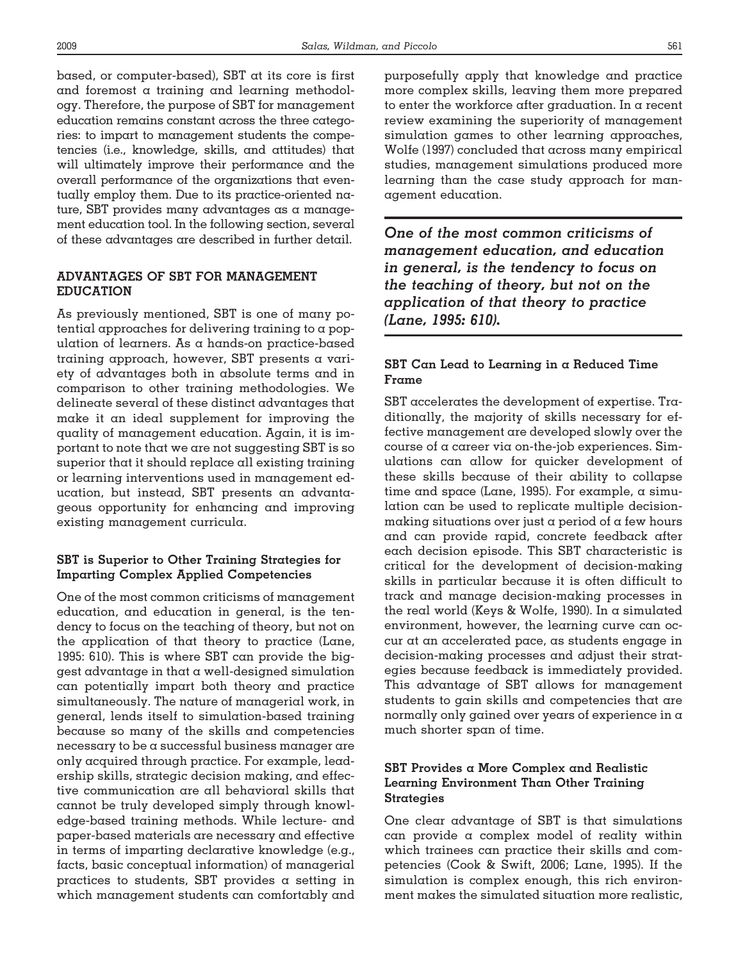purposefully apply that knowledge and practice more complex skills, leaving them more prepared to enter the workforce after graduation. In a recent review examining the superiority of management simulation games to other learning approaches, Wolfe (1997) concluded that across many empirical studies, management simulations produced more

agement education.

*One of the most common criticisms of management education, and education in general, is the tendency to focus on the teaching of theory, but not on the application of that theory to practice (Lane, 1995: 610).*

learning than the case study approach for man-

# **SBT Can Lead to Learning in a Reduced Time Frame**

SBT accelerates the development of expertise. Traditionally, the majority of skills necessary for effective management are developed slowly over the course of a career via on-the-job experiences. Simulations can allow for quicker development of these skills because of their ability to collapse time and space (Lane, 1995). For example, a simulation can be used to replicate multiple decisionmaking situations over just a period of a few hours and can provide rapid, concrete feedback after each decision episode. This SBT characteristic is critical for the development of decision-making skills in particular because it is often difficult to track and manage decision-making processes in the real world (Keys & Wolfe, 1990). In a simulated environment, however, the learning curve can occur at an accelerated pace, as students engage in decision-making processes and adjust their strategies because feedback is immediately provided. This advantage of SBT allows for management students to gain skills and competencies that are normally only gained over years of experience in a much shorter span of time.

# **SBT Provides a More Complex and Realistic Learning Environment Than Other Training Strategies**

One clear advantage of SBT is that simulations can provide a complex model of reality within which trainees can practice their skills and competencies (Cook & Swift, 2006; Lane, 1995). If the simulation is complex enough, this rich environment makes the simulated situation more realistic,

based, or computer-based), SBT at its core is first and foremost a training and learning methodology. Therefore, the purpose of SBT for management education remains constant across the three categories: to impart to management students the competencies (i.e., knowledge, skills, and attitudes) that will ultimately improve their performance and the overall performance of the organizations that eventually employ them. Due to its practice-oriented nature, SBT provides many advantages as a management education tool. In the following section, several of these advantages are described in further detail.

# **ADVANTAGES OF SBT FOR MANAGEMENT EDUCATION**

As previously mentioned, SBT is one of many potential approaches for delivering training to a population of learners. As a hands-on practice-based training approach, however, SBT presents a variety of advantages both in absolute terms and in comparison to other training methodologies. We delineate several of these distinct advantages that make it an ideal supplement for improving the quality of management education. Again, it is important to note that we are not suggesting SBT is so superior that it should replace all existing training or learning interventions used in management education, but instead, SBT presents an advantageous opportunity for enhancing and improving existing management curricula.

# **SBT is Superior to Other Training Strategies for Imparting Complex Applied Competencies**

One of the most common criticisms of management education, and education in general, is the tendency to focus on the teaching of theory, but not on the application of that theory to practice (Lane, 1995: 610). This is where SBT can provide the biggest advantage in that a well-designed simulation can potentially impart both theory and practice simultaneously. The nature of managerial work, in general, lends itself to simulation-based training because so many of the skills and competencies necessary to be a successful business manager are only acquired through practice. For example, leadership skills, strategic decision making, and effective communication are all behavioral skills that cannot be truly developed simply through knowledge-based training methods. While lecture- and paper-based materials are necessary and effective in terms of imparting declarative knowledge (e.g., facts, basic conceptual information) of managerial practices to students, SBT provides a setting in which management students can comfortably and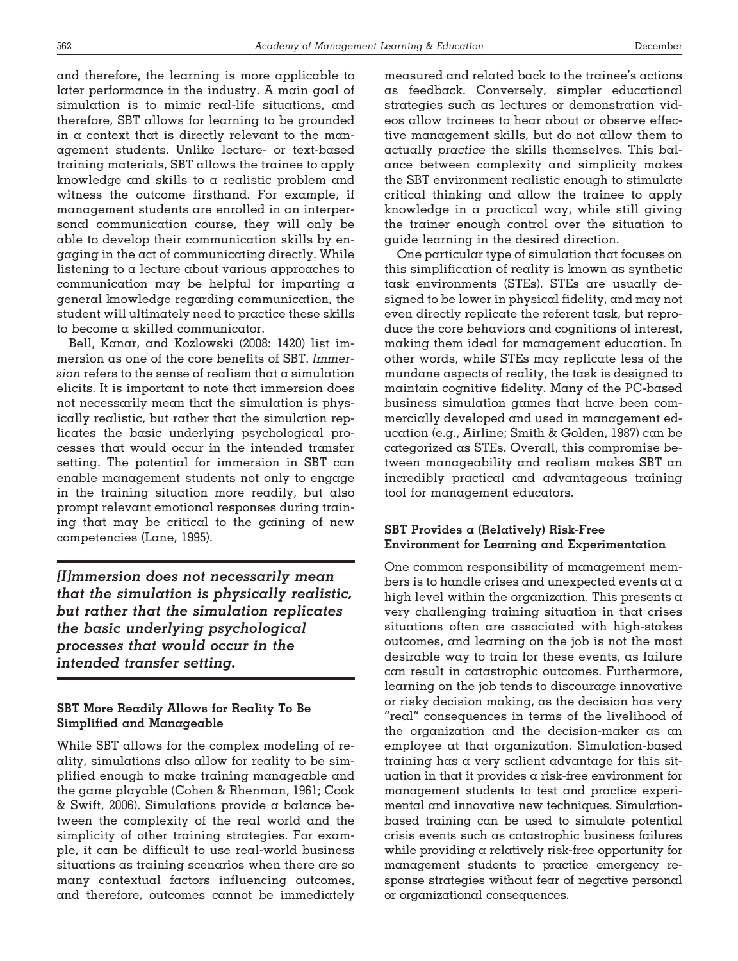and therefore, the learning is more applicable to later performance in the industry. A main goal of simulation is to mimic real-life situations, and therefore, SBT allows for learning to be grounded in a context that is directly relevant to the management students. Unlike lecture- or text-based training materials, SBT allows the trainee to apply knowledge and skills to a realistic problem and witness the outcome firsthand. For example, if management students are enrolled in an interpersonal communication course, they will only be able to develop their communication skills by engaging in the act of communicating directly. While listening to a lecture about various approaches to communication may be helpful for imparting a general knowledge regarding communication, the student will ultimately need to practice these skills to become a skilled communicator.

Bell, Kanar, and Kozlowski (2008: 1420) list immersion as one of the core benefits of SBT. *Immersion* refers to the sense of realism that a simulation elicits. It is important to note that immersion does not necessarily mean that the simulation is physically realistic, but rather that the simulation replicates the basic underlying psychological processes that would occur in the intended transfer setting. The potential for immersion in SBT can enable management students not only to engage in the training situation more readily, but also prompt relevant emotional responses during training that may be critical to the gaining of new competencies (Lane, 1995).

*[I]mmersion does not necessarily mean that the simulation is physically realistic, but rather that the simulation replicates the basic underlying psychological processes that would occur in the intended transfer setting.*

# **SBT More Readily Allows for Reality To Be Simplified and Manageable**

While SBT allows for the complex modeling of reality, simulations also allow for reality to be simplified enough to make training manageable and the game playable (Cohen & Rhenman, 1961; Cook & Swift, 2006). Simulations provide a balance between the complexity of the real world and the simplicity of other training strategies. For example, it can be difficult to use real-world business situations as training scenarios when there are so many contextual factors influencing outcomes, and therefore, outcomes cannot be immediately

measured and related back to the trainee's actions as feedback. Conversely, simpler educational strategies such as lectures or demonstration videos allow trainees to hear about or observe effective management skills, but do not allow them to actually *practice* the skills themselves. This balance between complexity and simplicity makes the SBT environment realistic enough to stimulate critical thinking and allow the trainee to apply knowledge in a practical way, while still giving the trainer enough control over the situation to guide learning in the desired direction.

One particular type of simulation that focuses on this simplification of reality is known as synthetic task environments (STEs). STEs are usually designed to be lower in physical fidelity, and may not even directly replicate the referent task, but reproduce the core behaviors and cognitions of interest, making them ideal for management education. In other words, while STEs may replicate less of the mundane aspects of reality, the task is designed to maintain cognitive fidelity. Many of the PC-based business simulation games that have been commercially developed and used in management education (e.g., Airline; Smith & Golden, 1987) can be categorized as STEs. Overall, this compromise between manageability and realism makes SBT an incredibly practical and advantageous training tool for management educators.

## **SBT Provides a (Relatively) Risk-Free Environment for Learning and Experimentation**

One common responsibility of management members is to handle crises and unexpected events at a high level within the organization. This presents  $\alpha$ very challenging training situation in that crises situations often are associated with high-stakes outcomes, and learning on the job is not the most desirable way to train for these events, as failure can result in catastrophic outcomes. Furthermore, learning on the job tends to discourage innovative or risky decision making, as the decision has very "real" consequences in terms of the livelihood of the organization and the decision-maker as an employee at that organization. Simulation-based training has a very salient advantage for this situation in that it provides a risk-free environment for management students to test and practice experimental and innovative new techniques. Simulationbased training can be used to simulate potential crisis events such as catastrophic business failures while providing a relatively risk-free opportunity for management students to practice emergency response strategies without fear of negative personal or organizational consequences.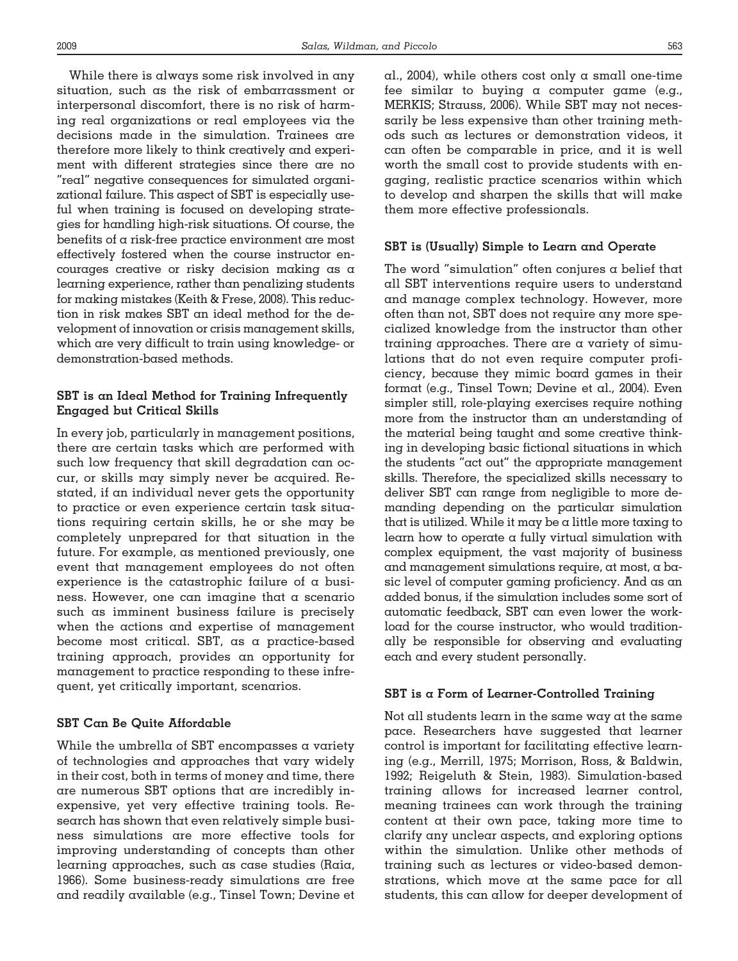While there is always some risk involved in any situation, such as the risk of embarrassment or interpersonal discomfort, there is no risk of harming real organizations or real employees via the decisions made in the simulation. Trainees are therefore more likely to think creatively and experiment with different strategies since there are no "real" negative consequences for simulated organizational failure. This aspect of SBT is especially useful when training is focused on developing strategies for handling high-risk situations. Of course, the benefits of a risk-free practice environment are most effectively fostered when the course instructor encourages creative or risky decision making as a learning experience, rather than penalizing students for making mistakes (Keith & Frese, 2008). This reduction in risk makes SBT an ideal method for the development of innovation or crisis management skills, which are very difficult to train using knowledge- or demonstration-based methods.

# **SBT is an Ideal Method for Training Infrequently Engaged but Critical Skills**

In every job, particularly in management positions, there are certain tasks which are performed with such low frequency that skill degradation can occur, or skills may simply never be acquired. Restated, if an individual never gets the opportunity to practice or even experience certain task situations requiring certain skills, he or she may be completely unprepared for that situation in the future. For example, as mentioned previously, one event that management employees do not often experience is the catastrophic failure of  $\alpha$  business. However, one can imagine that a scenario such as imminent business failure is precisely when the actions and expertise of management become most critical. SBT, as a practice-based training approach, provides an opportunity for management to practice responding to these infrequent, yet critically important, scenarios.

#### **SBT Can Be Quite Affordable**

While the umbrella of SBT encompasses a variety of technologies and approaches that vary widely in their cost, both in terms of money and time, there are numerous SBT options that are incredibly inexpensive, yet very effective training tools. Research has shown that even relatively simple business simulations are more effective tools for improving understanding of concepts than other learning approaches, such as case studies (Raia, 1966). Some business-ready simulations are free and readily available (e.g., Tinsel Town; Devine et

al., 2004), while others cost only a small one-time fee similar to buying a computer game (e.g., MERKIS; Strauss, 2006). While SBT may not necessarily be less expensive than other training methods such as lectures or demonstration videos, it can often be comparable in price, and it is well worth the small cost to provide students with engaging, realistic practice scenarios within which to develop and sharpen the skills that will make them more effective professionals.

#### **SBT is (Usually) Simple to Learn and Operate**

The word "simulation" often conjures  $\alpha$  belief that all SBT interventions require users to understand and manage complex technology. However, more often than not, SBT does not require any more specialized knowledge from the instructor than other training approaches. There are a variety of simulations that do not even require computer proficiency, because they mimic board games in their format (e.g., Tinsel Town; Devine et al., 2004). Even simpler still, role-playing exercises require nothing more from the instructor than an understanding of the material being taught and some creative thinking in developing basic fictional situations in which the students "act out" the appropriate management skills. Therefore, the specialized skills necessary to deliver SBT can range from negligible to more demanding depending on the particular simulation that is utilized. While it may be a little more taxing to learn how to operate a fully virtual simulation with complex equipment, the vast majority of business and management simulations require, at most, a basic level of computer gaming proficiency. And as an added bonus, if the simulation includes some sort of automatic feedback, SBT can even lower the workload for the course instructor, who would traditionally be responsible for observing and evaluating each and every student personally.

#### **SBT is a Form of Learner-Controlled Training**

Not all students learn in the same way at the same pace. Researchers have suggested that learner control is important for facilitating effective learning (e.g., Merrill, 1975; Morrison, Ross, & Baldwin, 1992; Reigeluth & Stein, 1983). Simulation-based training allows for increased learner control, meaning trainees can work through the training content at their own pace, taking more time to clarify any unclear aspects, and exploring options within the simulation. Unlike other methods of training such as lectures or video-based demonstrations, which move at the same pace for all students, this can allow for deeper development of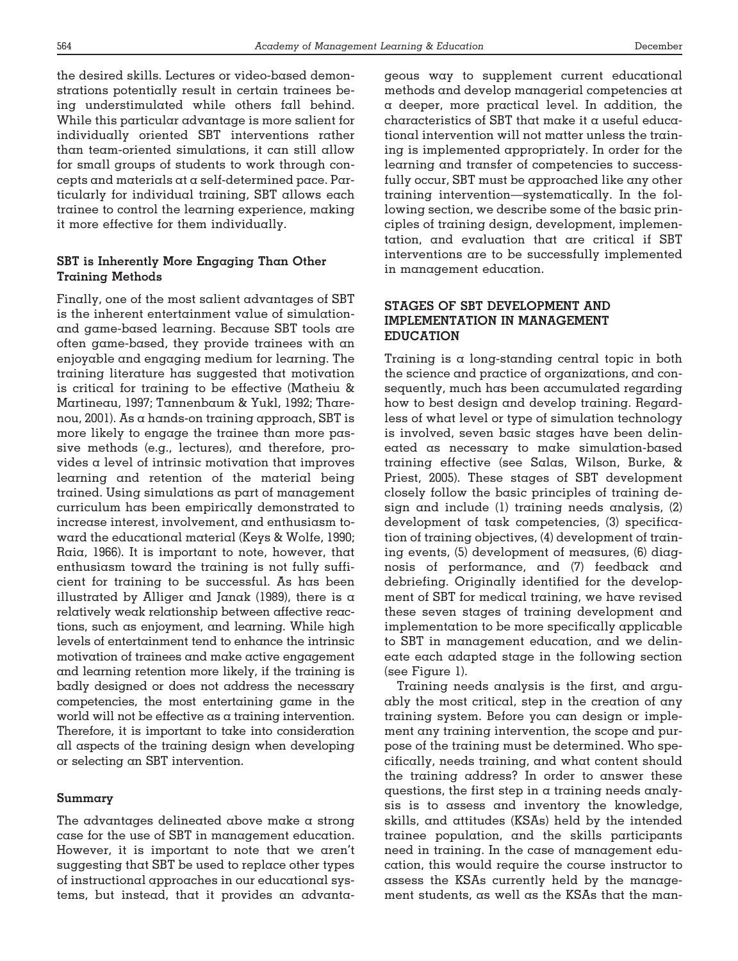the desired skills. Lectures or video-based demonstrations potentially result in certain trainees being understimulated while others fall behind. While this particular advantage is more salient for individually oriented SBT interventions rather than team-oriented simulations, it can still allow for small groups of students to work through concepts and materials at a self-determined pace. Particularly for individual training, SBT allows each trainee to control the learning experience, making it more effective for them individually.

# **SBT is Inherently More Engaging Than Other Training Methods**

Finally, one of the most salient advantages of SBT is the inherent entertainment value of simulationand game-based learning. Because SBT tools are often game-based, they provide trainees with an enjoyable and engaging medium for learning. The training literature has suggested that motivation is critical for training to be effective (Matheiu & Martineau, 1997; Tannenbaum & Yukl, 1992; Tharenou, 2001). As a hands-on training approach, SBT is more likely to engage the trainee than more passive methods (e.g., lectures), and therefore, provides a level of intrinsic motivation that improves learning and retention of the material being trained. Using simulations as part of management curriculum has been empirically demonstrated to increase interest, involvement, and enthusiasm toward the educational material (Keys & Wolfe, 1990; Raia, 1966). It is important to note, however, that enthusiasm toward the training is not fully sufficient for training to be successful. As has been illustrated by Alliger and Janak (1989), there is a relatively weak relationship between affective reactions, such as enjoyment, and learning. While high levels of entertainment tend to enhance the intrinsic motivation of trainees and make active engagement and learning retention more likely, if the training is badly designed or does not address the necessary competencies, the most entertaining game in the world will not be effective as a training intervention. Therefore, it is important to take into consideration all aspects of the training design when developing or selecting an SBT intervention.

#### **Summary**

The advantages delineated above make a strong case for the use of SBT in management education. However, it is important to note that we aren't suggesting that SBT be used to replace other types of instructional approaches in our educational systems, but instead, that it provides an advantageous way to supplement current educational methods and develop managerial competencies at a deeper, more practical level. In addition, the characteristics of SBT that make it a useful educational intervention will not matter unless the training is implemented appropriately. In order for the learning and transfer of competencies to successfully occur, SBT must be approached like any other training intervention—systematically. In the following section, we describe some of the basic principles of training design, development, implementation, and evaluation that are critical if SBT interventions are to be successfully implemented in management education.

# **STAGES OF SBT DEVELOPMENT AND IMPLEMENTATION IN MANAGEMENT EDUCATION**

Training is a long-standing central topic in both the science and practice of organizations, and consequently, much has been accumulated regarding how to best design and develop training. Regardless of what level or type of simulation technology is involved, seven basic stages have been delineated as necessary to make simulation-based training effective (see Salas, Wilson, Burke, & Priest, 2005). These stages of SBT development closely follow the basic principles of training design and include (1) training needs analysis, (2) development of task competencies, (3) specification of training objectives, (4) development of training events, (5) development of measures, (6) diagnosis of performance, and (7) feedback and debriefing. Originally identified for the development of SBT for medical training, we have revised these seven stages of training development and implementation to be more specifically applicable to SBT in management education, and we delineate each adapted stage in the following section (see Figure 1).

Training needs analysis is the first, and arguably the most critical, step in the creation of any training system. Before you can design or implement any training intervention, the scope and purpose of the training must be determined. Who specifically, needs training, and what content should the training address? In order to answer these questions, the first step in a training needs analysis is to assess and inventory the knowledge, skills, and attitudes (KSAs) held by the intended trainee population, and the skills participants need in training. In the case of management education, this would require the course instructor to assess the KSAs currently held by the management students, as well as the KSAs that the man-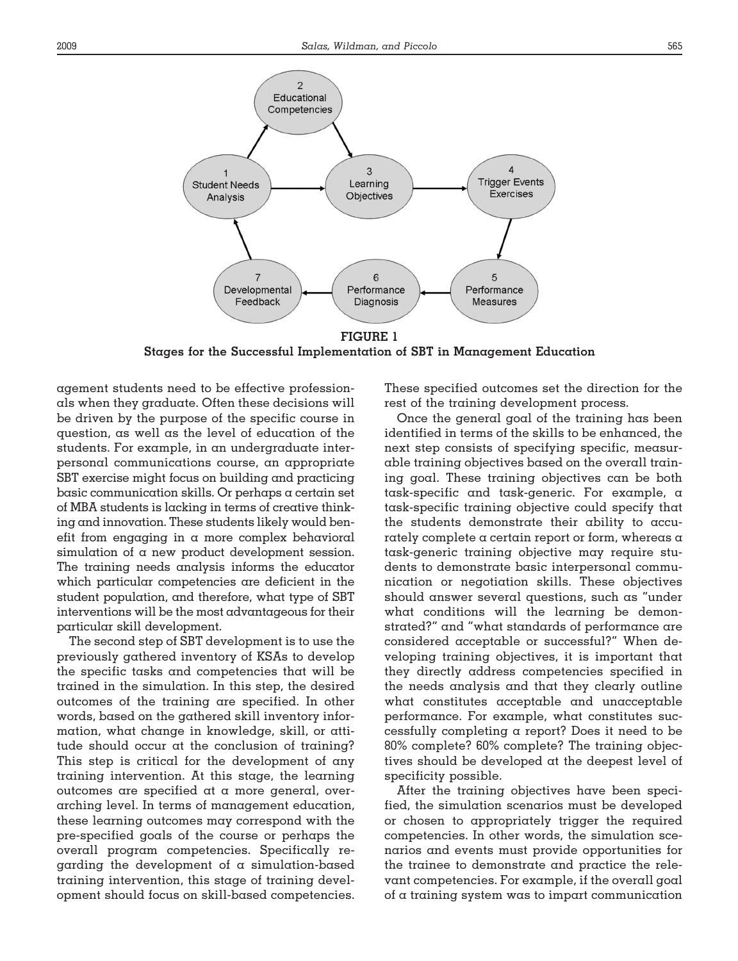

**Stages for the Successful Implementation of SBT in Management Education**

agement students need to be effective professionals when they graduate. Often these decisions will be driven by the purpose of the specific course in question, as well as the level of education of the students. For example, in an undergraduate interpersonal communications course, an appropriate SBT exercise might focus on building and practicing basic communication skills. Or perhaps a certain set of MBA students is lacking in terms of creative thinking and innovation. These students likely would benefit from engaging in a more complex behavioral simulation of a new product development session. The training needs analysis informs the educator which particular competencies are deficient in the student population, and therefore, what type of SBT interventions will be the most advantageous for their particular skill development.

The second step of SBT development is to use the previously gathered inventory of KSAs to develop the specific tasks and competencies that will be trained in the simulation. In this step, the desired outcomes of the training are specified. In other words, based on the gathered skill inventory information, what change in knowledge, skill, or attitude should occur at the conclusion of training? This step is critical for the development of any training intervention. At this stage, the learning outcomes are specified at a more general, overarching level. In terms of management education, these learning outcomes may correspond with the pre-specified goals of the course or perhaps the overall program competencies. Specifically regarding the development of a simulation-based training intervention, this stage of training development should focus on skill-based competencies. These specified outcomes set the direction for the rest of the training development process.

Once the general goal of the training has been identified in terms of the skills to be enhanced, the next step consists of specifying specific, measurable training objectives based on the overall training goal. These training objectives can be both task-specific and task-generic. For example, a task-specific training objective could specify that the students demonstrate their ability to accurately complete a certain report or form, whereas a task-generic training objective may require students to demonstrate basic interpersonal communication or negotiation skills. These objectives should answer several questions, such as "under what conditions will the learning be demonstrated?" and "what standards of performance are considered acceptable or successful?" When developing training objectives, it is important that they directly address competencies specified in the needs analysis and that they clearly outline what constitutes acceptable and unacceptable performance. For example, what constitutes successfully completing a report? Does it need to be 80% complete? 60% complete? The training objectives should be developed at the deepest level of specificity possible.

After the training objectives have been specified, the simulation scenarios must be developed or chosen to appropriately trigger the required competencies. In other words, the simulation scenarios and events must provide opportunities for the trainee to demonstrate and practice the relevant competencies. For example, if the overall goal of a training system was to impart communication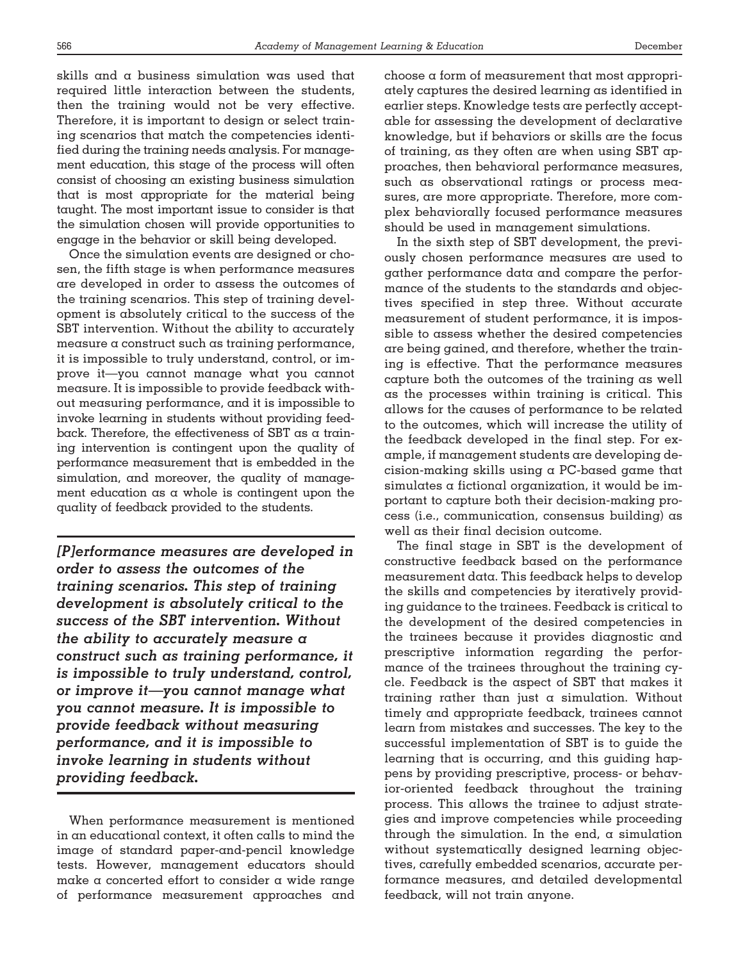skills and a business simulation was used that required little interaction between the students, then the training would not be very effective. Therefore, it is important to design or select training scenarios that match the competencies identified during the training needs analysis. For management education, this stage of the process will often consist of choosing an existing business simulation that is most appropriate for the material being taught. The most important issue to consider is that the simulation chosen will provide opportunities to engage in the behavior or skill being developed.

Once the simulation events are designed or chosen, the fifth stage is when performance measures are developed in order to assess the outcomes of the training scenarios. This step of training development is absolutely critical to the success of the SBT intervention. Without the ability to accurately measure a construct such as training performance, it is impossible to truly understand, control, or improve it—you cannot manage what you cannot measure. It is impossible to provide feedback without measuring performance, and it is impossible to invoke learning in students without providing feedback. Therefore, the effectiveness of SBT as a training intervention is contingent upon the quality of performance measurement that is embedded in the simulation, and moreover, the quality of management education as a whole is contingent upon the quality of feedback provided to the students.

*[P]erformance measures are developed in order to assess the outcomes of the training scenarios. This step of training development is absolutely critical to the success of the SBT intervention. Without the ability to accurately measure a construct such as training performance, it is impossible to truly understand, control, or improve it—you cannot manage what you cannot measure. It is impossible to provide feedback without measuring performance, and it is impossible to invoke learning in students without providing feedback.*

When performance measurement is mentioned in an educational context, it often calls to mind the image of standard paper-and-pencil knowledge tests. However, management educators should make a concerted effort to consider a wide range of performance measurement approaches and

choose a form of measurement that most appropriately captures the desired learning as identified in earlier steps. Knowledge tests are perfectly acceptable for assessing the development of declarative knowledge, but if behaviors or skills are the focus of training, as they often are when using SBT approaches, then behavioral performance measures, such as observational ratings or process measures, are more appropriate. Therefore, more complex behaviorally focused performance measures should be used in management simulations.

In the sixth step of SBT development, the previously chosen performance measures are used to gather performance data and compare the performance of the students to the standards and objectives specified in step three. Without accurate measurement of student performance, it is impossible to assess whether the desired competencies are being gained, and therefore, whether the training is effective. That the performance measures capture both the outcomes of the training as well as the processes within training is critical. This allows for the causes of performance to be related to the outcomes, which will increase the utility of the feedback developed in the final step. For example, if management students are developing decision-making skills using a PC-based game that simulates a fictional organization, it would be important to capture both their decision-making process (i.e., communication, consensus building) as well as their final decision outcome.

The final stage in SBT is the development of constructive feedback based on the performance measurement data. This feedback helps to develop the skills and competencies by iteratively providing guidance to the trainees. Feedback is critical to the development of the desired competencies in the trainees because it provides diagnostic and prescriptive information regarding the performance of the trainees throughout the training cycle. Feedback is the aspect of SBT that makes it training rather than just a simulation. Without timely and appropriate feedback, trainees cannot learn from mistakes and successes. The key to the successful implementation of SBT is to guide the learning that is occurring, and this guiding happens by providing prescriptive, process- or behavior-oriented feedback throughout the training process. This allows the trainee to adjust strategies and improve competencies while proceeding through the simulation. In the end,  $\alpha$  simulation without systematically designed learning objectives, carefully embedded scenarios, accurate performance measures, and detailed developmental feedback, will not train anyone.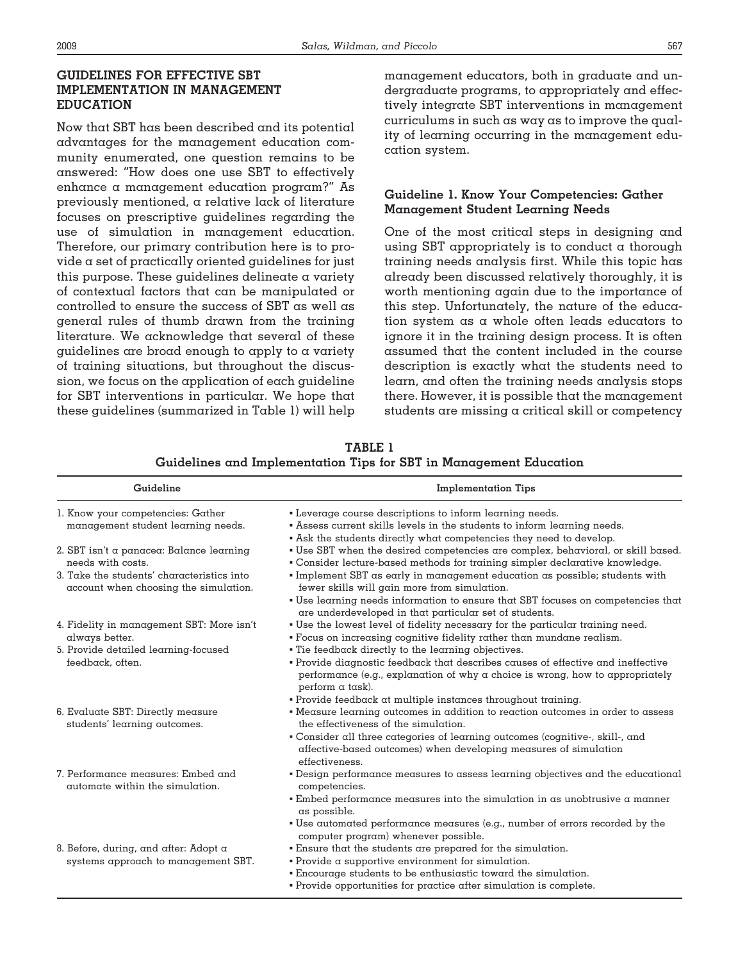# **GUIDELINES FOR EFFECTIVE SBT IMPLEMENTATION IN MANAGEMENT EDUCATION**

Now that SBT has been described and its potential advantages for the management education community enumerated, one question remains to be answered: "How does one use SBT to effectively enhance a management education program?" As previously mentioned, a relative lack of literature focuses on prescriptive guidelines regarding the use of simulation in management education. Therefore, our primary contribution here is to provide a set of practically oriented guidelines for just this purpose. These guidelines delineate a variety of contextual factors that can be manipulated or controlled to ensure the success of SBT as well as general rules of thumb drawn from the training literature. We acknowledge that several of these guidelines are broad enough to apply to a variety of training situations, but throughout the discussion, we focus on the application of each guideline for SBT interventions in particular. We hope that these guidelines (summarized in Table 1) will help

management educators, both in graduate and undergraduate programs, to appropriately and effectively integrate SBT interventions in management curriculums in such as way as to improve the quality of learning occurring in the management education system.

## **Guideline 1. Know Your Competencies: Gather Management Student Learning Needs**

One of the most critical steps in designing and using SBT appropriately is to conduct a thorough training needs analysis first. While this topic has already been discussed relatively thoroughly, it is worth mentioning again due to the importance of this step. Unfortunately, the nature of the education system as a whole often leads educators to ignore it in the training design process. It is often assumed that the content included in the course description is exactly what the students need to learn, and often the training needs analysis stops there. However, it is possible that the management students are missing a critical skill or competency

**TABLE 1 Guidelines and Implementation Tips for SBT in Management Education**

| Guideline                                                                                                | <b>Implementation Tips</b>                                                                                                                                                                                  |
|----------------------------------------------------------------------------------------------------------|-------------------------------------------------------------------------------------------------------------------------------------------------------------------------------------------------------------|
| l. Know your competencies: Gather<br>management student learning needs.                                  | • Leverage course descriptions to inform learning needs.<br>• Assess current skills levels in the students to inform learning needs.<br>• Ask the students directly what competencies they need to develop. |
| 2. SBT isn't a panacea: Balance learning                                                                 | • Use SBT when the desired competencies are complex, behavioral, or skill based.                                                                                                                            |
| needs with costs.<br>3. Take the students' characteristics into<br>account when choosing the simulation. | • Consider lecture-based methods for training simpler declarative knowledge.<br>• Implement SBT as early in management education as possible; students with<br>fewer skills will gain more from simulation. |
|                                                                                                          | • Use learning needs information to ensure that SBT focuses on competencies that<br>are underdeveloped in that particular set of students.                                                                  |
| 4. Fidelity in management SBT: More isn't<br>always better.                                              | . Use the lowest level of fidelity necessary for the particular training need.<br>• Focus on increasing cognitive fidelity rather than mundane realism.                                                     |
| 5. Provide detailed learning-focused                                                                     | • Tie feedback directly to the learning objectives.                                                                                                                                                         |
| feedback, often.                                                                                         | • Provide diagnostic feedback that describes causes of effective and ineffective<br>performance (e.g., explanation of why $\alpha$ choice is wrong, how to appropriately<br>perform a task).                |
|                                                                                                          | · Provide feedback at multiple instances throughout training.                                                                                                                                               |
| 6. Evaluate SBT: Directly measure<br>students' learning outcomes.                                        | • Measure learning outcomes in addition to reaction outcomes in order to assess<br>the effectiveness of the simulation.                                                                                     |
|                                                                                                          | • Consider all three categories of learning outcomes (cognitive-, skill-, and<br>affective-based outcomes) when developing measures of simulation<br>effectiveness.                                         |
| 7. Performance measures: Embed and<br>automate within the simulation.                                    | • Design performance measures to assess learning objectives and the educational<br>competencies.                                                                                                            |
|                                                                                                          | Embed performance measures into the simulation in as unobtrusive $\alpha$ manner<br>as possible.                                                                                                            |
|                                                                                                          | · Use automated performance measures (e.g., number of errors recorded by the<br>computer program) whenever possible.                                                                                        |
| 8. Before, during, and after: Adopt a                                                                    | · Ensure that the students are prepared for the simulation.                                                                                                                                                 |
| systems approach to management SBT.                                                                      | · Provide a supportive environment for simulation.                                                                                                                                                          |
|                                                                                                          | · Encourage students to be enthusiastic toward the simulation.                                                                                                                                              |
|                                                                                                          | • Provide opportunities for practice after simulation is complete.                                                                                                                                          |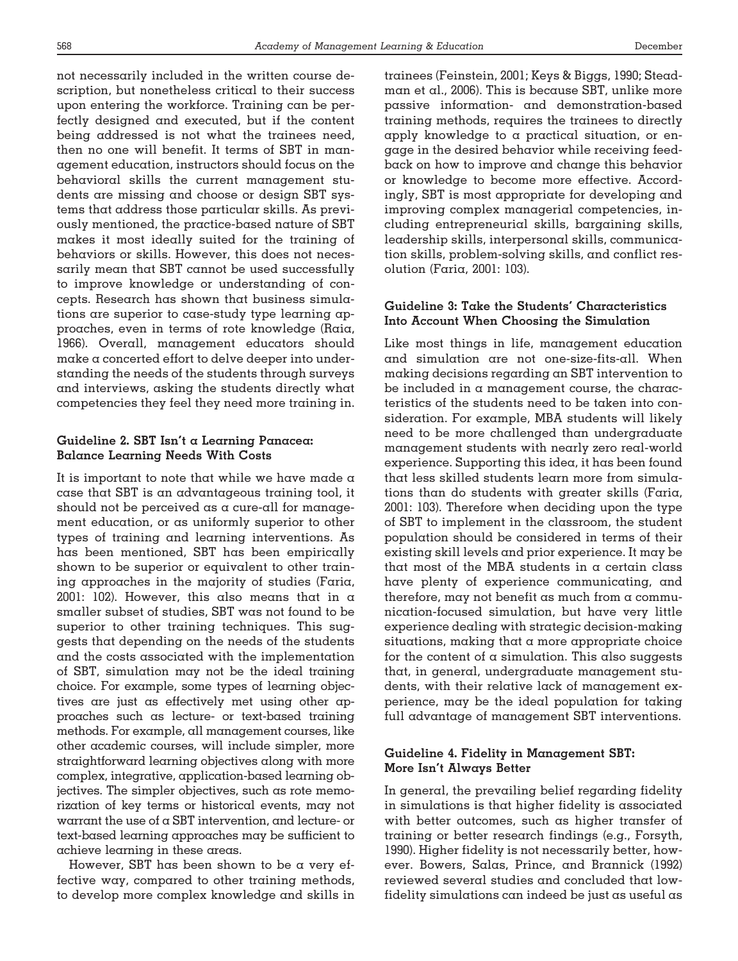not necessarily included in the written course description, but nonetheless critical to their success upon entering the workforce. Training can be perfectly designed and executed, but if the content being addressed is not what the trainees need, then no one will benefit. It terms of SBT in management education, instructors should focus on the behavioral skills the current management students are missing and choose or design SBT systems that address those particular skills. As previously mentioned, the practice-based nature of SBT makes it most ideally suited for the training of behaviors or skills. However, this does not necessarily mean that SBT cannot be used successfully to improve knowledge or understanding of concepts. Research has shown that business simulations are superior to case-study type learning approaches, even in terms of rote knowledge (Raia, 1966). Overall, management educators should make a concerted effort to delve deeper into understanding the needs of the students through surveys and interviews, asking the students directly what competencies they feel they need more training in.

# **Guideline 2. SBT Isn't a Learning Panacea: Balance Learning Needs With Costs**

It is important to note that while we have made a case that SBT is an advantageous training tool, it should not be perceived as a cure-all for management education, or as uniformly superior to other types of training and learning interventions. As has been mentioned, SBT has been empirically shown to be superior or equivalent to other training approaches in the majority of studies (Faria, 2001: 102). However, this also means that in  $\alpha$ smaller subset of studies, SBT was not found to be superior to other training techniques. This suggests that depending on the needs of the students and the costs associated with the implementation of SBT, simulation may not be the ideal training choice. For example, some types of learning objectives are just as effectively met using other approaches such as lecture- or text-based training methods. For example, all management courses, like other academic courses, will include simpler, more straightforward learning objectives along with more complex, integrative, application-based learning objectives. The simpler objectives, such as rote memorization of key terms or historical events, may not warrant the use of a SBT intervention, and lecture- or text-based learning approaches may be sufficient to achieve learning in these areas.

However, SBT has been shown to be a very effective way, compared to other training methods, to develop more complex knowledge and skills in trainees (Feinstein, 2001; Keys & Biggs, 1990; Steadman et al., 2006). This is because SBT, unlike more passive information- and demonstration-based training methods, requires the trainees to directly apply knowledge to a practical situation, or engage in the desired behavior while receiving feedback on how to improve and change this behavior or knowledge to become more effective. Accordingly, SBT is most appropriate for developing and improving complex managerial competencies, including entrepreneurial skills, bargaining skills, leadership skills, interpersonal skills, communication skills, problem-solving skills, and conflict resolution (Faria, 2001: 103).

# **Guideline 3: Take the Students' Characteristics Into Account When Choosing the Simulation**

Like most things in life, management education and simulation are not one-size-fits-all. When making decisions regarding an SBT intervention to be included in a management course, the characteristics of the students need to be taken into consideration. For example, MBA students will likely need to be more challenged than undergraduate management students with nearly zero real-world experience. Supporting this idea, it has been found that less skilled students learn more from simulations than do students with greater skills (Faria, 2001: 103). Therefore when deciding upon the type of SBT to implement in the classroom, the student population should be considered in terms of their existing skill levels and prior experience. It may be that most of the MBA students in a certain class have plenty of experience communicating, and therefore, may not benefit as much from a communication-focused simulation, but have very little experience dealing with strategic decision-making situations, making that a more appropriate choice for the content of  $\alpha$  simulation. This also suggests that, in general, undergraduate management students, with their relative lack of management experience, may be the ideal population for taking full advantage of management SBT interventions.

# **Guideline 4. Fidelity in Management SBT: More Isn't Always Better**

In general, the prevailing belief regarding fidelity in simulations is that higher fidelity is associated with better outcomes, such as higher transfer of training or better research findings (e.g., Forsyth, 1990). Higher fidelity is not necessarily better, however. Bowers, Salas, Prince, and Brannick (1992) reviewed several studies and concluded that lowfidelity simulations can indeed be just as useful as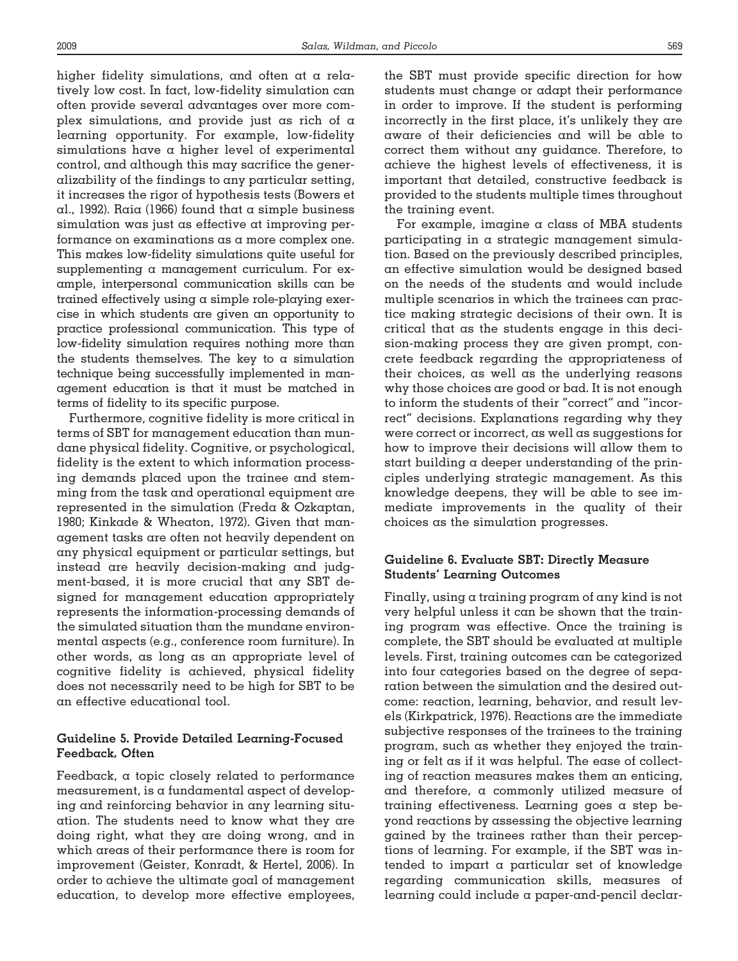higher fidelity simulations, and often at a relatively low cost. In fact, low-fidelity simulation can often provide several advantages over more complex simulations, and provide just as rich of a learning opportunity. For example, low-fidelity simulations have a higher level of experimental control, and although this may sacrifice the generalizability of the findings to any particular setting, it increases the rigor of hypothesis tests (Bowers et al., 1992). Raia (1966) found that a simple business simulation was just as effective at improving performance on examinations as a more complex one. This makes low-fidelity simulations quite useful for supplementing a management curriculum. For example, interpersonal communication skills can be trained effectively using a simple role-playing exercise in which students are given an opportunity to practice professional communication. This type of low-fidelity simulation requires nothing more than the students themselves. The key to  $\alpha$  simulation technique being successfully implemented in management education is that it must be matched in terms of fidelity to its specific purpose.

Furthermore, cognitive fidelity is more critical in terms of SBT for management education than mundane physical fidelity. Cognitive, or psychological, fidelity is the extent to which information processing demands placed upon the trainee and stemming from the task and operational equipment are represented in the simulation (Freda & Ozkaptan, 1980; Kinkade & Wheaton, 1972). Given that management tasks are often not heavily dependent on any physical equipment or particular settings, but instead are heavily decision-making and judgment-based, it is more crucial that any SBT designed for management education appropriately represents the information-processing demands of the simulated situation than the mundane environmental aspects (e.g., conference room furniture). In other words, as long as an appropriate level of cognitive fidelity is achieved, physical fidelity does not necessarily need to be high for SBT to be an effective educational tool.

# **Guideline 5. Provide Detailed Learning-Focused Feedback, Often**

Feedback, a topic closely related to performance measurement, is a fundamental aspect of developing and reinforcing behavior in any learning situation. The students need to know what they are doing right, what they are doing wrong, and in which areas of their performance there is room for improvement (Geister, Konradt, & Hertel, 2006). In order to achieve the ultimate goal of management education, to develop more effective employees, the SBT must provide specific direction for how students must change or adapt their performance in order to improve. If the student is performing incorrectly in the first place, it's unlikely they are aware of their deficiencies and will be able to correct them without any guidance. Therefore, to achieve the highest levels of effectiveness, it is important that detailed, constructive feedback is provided to the students multiple times throughout the training event.

For example, imagine a class of MBA students participating in a strategic management simulation. Based on the previously described principles, an effective simulation would be designed based on the needs of the students and would include multiple scenarios in which the trainees can practice making strategic decisions of their own. It is critical that as the students engage in this decision-making process they are given prompt, concrete feedback regarding the appropriateness of their choices, as well as the underlying reasons why those choices are good or bad. It is not enough to inform the students of their "correct" and "incorrect" decisions. Explanations regarding why they were correct or incorrect, as well as suggestions for how to improve their decisions will allow them to start building a deeper understanding of the principles underlying strategic management. As this knowledge deepens, they will be able to see immediate improvements in the quality of their choices as the simulation progresses.

# **Guideline 6. Evaluate SBT: Directly Measure Students' Learning Outcomes**

Finally, using a training program of any kind is not very helpful unless it can be shown that the training program was effective. Once the training is complete, the SBT should be evaluated at multiple levels. First, training outcomes can be categorized into four categories based on the degree of separation between the simulation and the desired outcome: reaction, learning, behavior, and result levels (Kirkpatrick, 1976). Reactions are the immediate subjective responses of the trainees to the training program, such as whether they enjoyed the training or felt as if it was helpful. The ease of collecting of reaction measures makes them an enticing, and therefore, a commonly utilized measure of training effectiveness. Learning goes a step beyond reactions by assessing the objective learning gained by the trainees rather than their perceptions of learning. For example, if the SBT was intended to impart a particular set of knowledge regarding communication skills, measures of learning could include a paper-and-pencil declar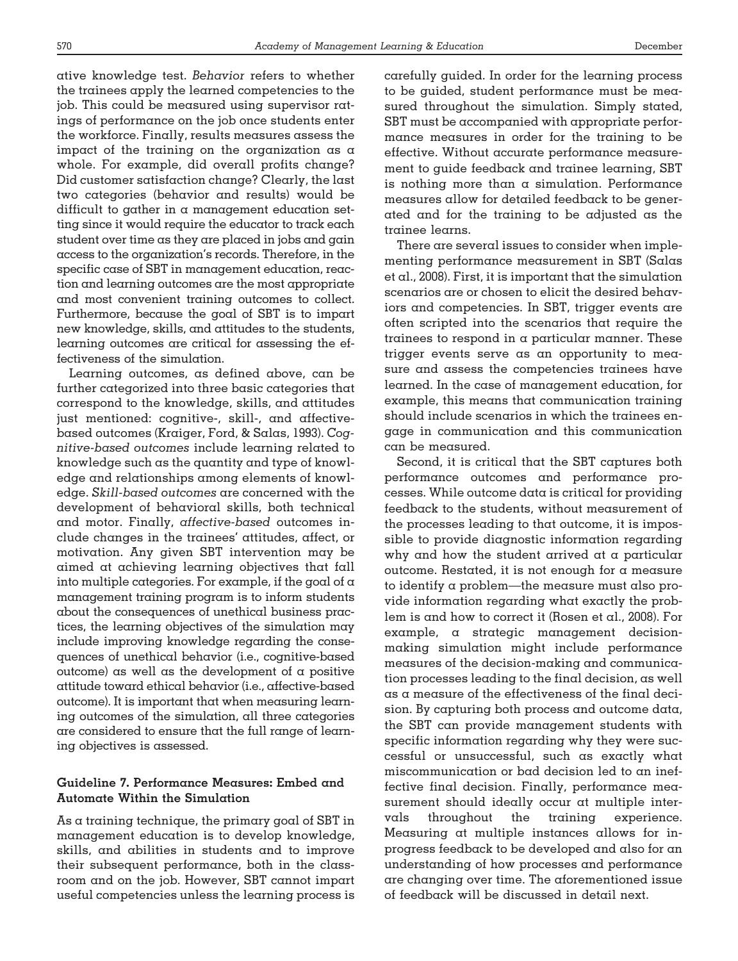ative knowledge test. *Behavior* refers to whether the trainees apply the learned competencies to the job. This could be measured using supervisor ratings of performance on the job once students enter the workforce. Finally, results measures assess the impact of the training on the organization as a whole. For example, did overall profits change? Did customer satisfaction change? Clearly, the last two categories (behavior and results) would be difficult to gather in a management education setting since it would require the educator to track each student over time as they are placed in jobs and gain access to the organization's records. Therefore, in the specific case of SBT in management education, reaction and learning outcomes are the most appropriate and most convenient training outcomes to collect. Furthermore, because the goal of SBT is to impart new knowledge, skills, and attitudes to the students, learning outcomes are critical for assessing the effectiveness of the simulation.

Learning outcomes, as defined above, can be further categorized into three basic categories that correspond to the knowledge, skills, and attitudes just mentioned: cognitive-, skill-, and affectivebased outcomes (Kraiger, Ford, & Salas, 1993). *Cognitive-based outcomes* include learning related to knowledge such as the quantity and type of knowledge and relationships among elements of knowledge. *Skill-based outcomes* are concerned with the development of behavioral skills, both technical and motor. Finally, *affective-based* outcomes include changes in the trainees' attitudes, affect, or motivation. Any given SBT intervention may be aimed at achieving learning objectives that fall into multiple categories. For example, if the goal of a management training program is to inform students about the consequences of unethical business practices, the learning objectives of the simulation may include improving knowledge regarding the consequences of unethical behavior (i.e., cognitive-based outcome) as well as the development of a positive attitude toward ethical behavior (i.e., affective-based outcome). It is important that when measuring learning outcomes of the simulation, all three categories are considered to ensure that the full range of learning objectives is assessed.

# **Guideline 7. Performance Measures: Embed and Automate Within the Simulation**

As a training technique, the primary goal of SBT in management education is to develop knowledge, skills, and abilities in students and to improve their subsequent performance, both in the classroom and on the job. However, SBT cannot impart useful competencies unless the learning process is carefully guided. In order for the learning process to be guided, student performance must be measured throughout the simulation. Simply stated, SBT must be accompanied with appropriate performance measures in order for the training to be effective. Without accurate performance measurement to guide feedback and trainee learning, SBT is nothing more than a simulation. Performance measures allow for detailed feedback to be generated and for the training to be adjusted as the trainee learns.

There are several issues to consider when implementing performance measurement in SBT (Salas et al., 2008). First, it is important that the simulation scenarios are or chosen to elicit the desired behaviors and competencies. In SBT, trigger events are often scripted into the scenarios that require the trainees to respond in  $\alpha$  particular manner. These trigger events serve as an opportunity to measure and assess the competencies trainees have learned. In the case of management education, for example, this means that communication training should include scenarios in which the trainees engage in communication and this communication can be measured.

Second, it is critical that the SBT captures both performance outcomes and performance processes. While outcome data is critical for providing feedback to the students, without measurement of the processes leading to that outcome, it is impossible to provide diagnostic information regarding why and how the student arrived at a particular outcome. Restated, it is not enough for a measure to identify a problem—the measure must also provide information regarding what exactly the problem is and how to correct it (Rosen et al., 2008). For example, a strategic management decisionmaking simulation might include performance measures of the decision-making and communication processes leading to the final decision, as well as a measure of the effectiveness of the final decision. By capturing both process and outcome data, the SBT can provide management students with specific information regarding why they were successful or unsuccessful, such as exactly what miscommunication or bad decision led to an ineffective final decision. Finally, performance measurement should ideally occur at multiple intervals throughout the training experience. Measuring at multiple instances allows for inprogress feedback to be developed and also for an understanding of how processes and performance are changing over time. The aforementioned issue of feedback will be discussed in detail next.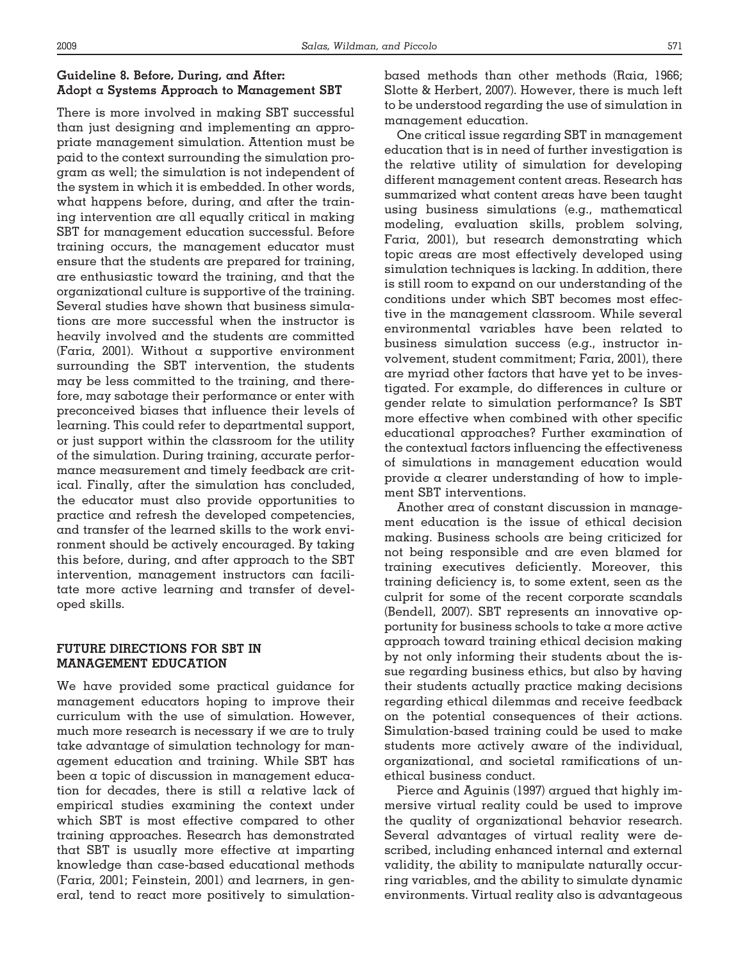# **Guideline 8. Before, During, and After: Adopt a Systems Approach to Management SBT**

There is more involved in making SBT successful than just designing and implementing an appropriate management simulation. Attention must be paid to the context surrounding the simulation program as well; the simulation is not independent of the system in which it is embedded. In other words, what happens before, during, and after the training intervention are all equally critical in making SBT for management education successful. Before training occurs, the management educator must ensure that the students are prepared for training, are enthusiastic toward the training, and that the organizational culture is supportive of the training. Several studies have shown that business simulations are more successful when the instructor is heavily involved and the students are committed (Faria, 2001). Without a supportive environment surrounding the SBT intervention, the students may be less committed to the training, and therefore, may sabotage their performance or enter with preconceived biases that influence their levels of learning. This could refer to departmental support, or just support within the classroom for the utility of the simulation. During training, accurate performance measurement and timely feedback are critical. Finally, after the simulation has concluded, the educator must also provide opportunities to practice and refresh the developed competencies, and transfer of the learned skills to the work environment should be actively encouraged. By taking this before, during, and after approach to the SBT intervention, management instructors can facilitate more active learning and transfer of developed skills.

## **FUTURE DIRECTIONS FOR SBT IN MANAGEMENT EDUCATION**

We have provided some practical guidance for management educators hoping to improve their curriculum with the use of simulation. However, much more research is necessary if we are to truly take advantage of simulation technology for management education and training. While SBT has been a topic of discussion in management education for decades, there is still a relative lack of empirical studies examining the context under which SBT is most effective compared to other training approaches. Research has demonstrated that SBT is usually more effective at imparting knowledge than case-based educational methods (Faria, 2001; Feinstein, 2001) and learners, in general, tend to react more positively to simulationbased methods than other methods (Raia, 1966; Slotte & Herbert, 2007). However, there is much left to be understood regarding the use of simulation in management education.

One critical issue regarding SBT in management education that is in need of further investigation is the relative utility of simulation for developing different management content areas. Research has summarized what content areas have been taught using business simulations (e.g., mathematical modeling, evaluation skills, problem solving, Faria, 2001), but research demonstrating which topic areas are most effectively developed using simulation techniques is lacking. In addition, there is still room to expand on our understanding of the conditions under which SBT becomes most effective in the management classroom. While several environmental variables have been related to business simulation success (e.g., instructor involvement, student commitment; Faria, 2001), there are myriad other factors that have yet to be investigated. For example, do differences in culture or gender relate to simulation performance? Is SBT more effective when combined with other specific educational approaches? Further examination of the contextual factors influencing the effectiveness of simulations in management education would provide a clearer understanding of how to implement SBT interventions.

Another area of constant discussion in management education is the issue of ethical decision making. Business schools are being criticized for not being responsible and are even blamed for training executives deficiently. Moreover, this training deficiency is, to some extent, seen as the culprit for some of the recent corporate scandals (Bendell, 2007). SBT represents an innovative opportunity for business schools to take a more active approach toward training ethical decision making by not only informing their students about the issue regarding business ethics, but also by having their students actually practice making decisions regarding ethical dilemmas and receive feedback on the potential consequences of their actions. Simulation-based training could be used to make students more actively aware of the individual, organizational, and societal ramifications of unethical business conduct.

Pierce and Aguinis (1997) argued that highly immersive virtual reality could be used to improve the quality of organizational behavior research. Several advantages of virtual reality were described, including enhanced internal and external validity, the ability to manipulate naturally occurring variables, and the ability to simulate dynamic environments. Virtual reality also is advantageous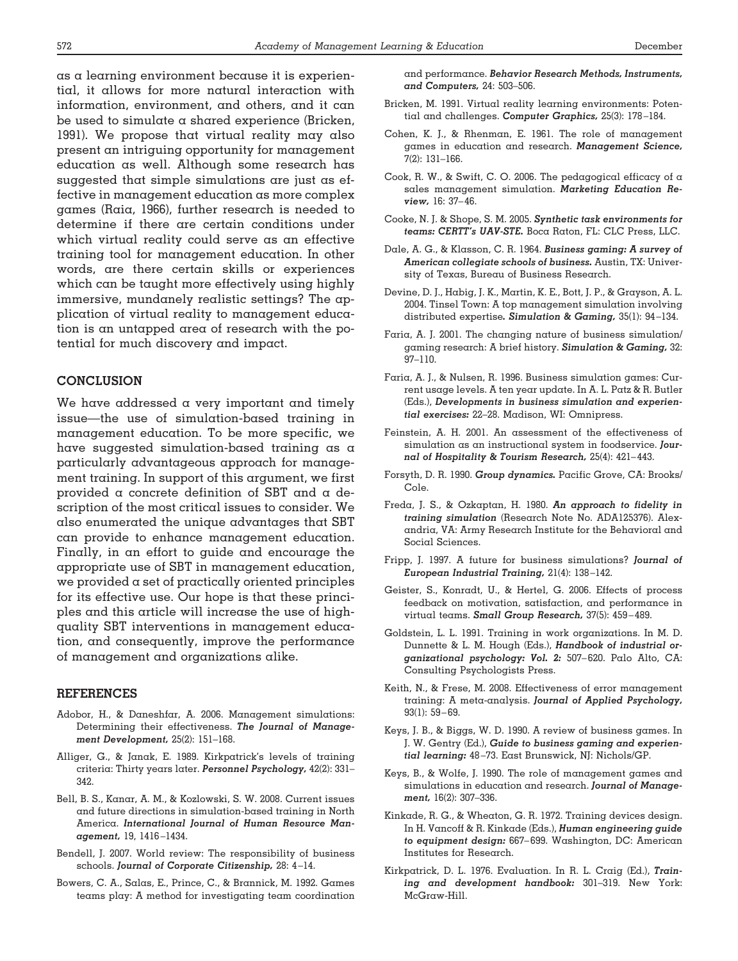as a learning environment because it is experiential, it allows for more natural interaction with information, environment, and others, and it can be used to simulate a shared experience (Bricken, 1991). We propose that virtual reality may also present an intriguing opportunity for management education as well. Although some research has suggested that simple simulations are just as effective in management education as more complex games (Raia, 1966), further research is needed to determine if there are certain conditions under which virtual reality could serve as an effective training tool for management education. In other words, are there certain skills or experiences which can be taught more effectively using highly immersive, mundanely realistic settings? The application of virtual reality to management education is an untapped area of research with the potential for much discovery and impact.

#### **CONCLUSION**

We have addressed a very important and timely issue—the use of simulation-based training in management education. To be more specific, we have suggested simulation-based training as a particularly advantageous approach for management training. In support of this argument, we first provided a concrete definition of SBT and a description of the most critical issues to consider. We also enumerated the unique advantages that SBT can provide to enhance management education. Finally, in an effort to guide and encourage the appropriate use of SBT in management education, we provided a set of practically oriented principles for its effective use. Our hope is that these principles and this article will increase the use of highquality SBT interventions in management education, and consequently, improve the performance of management and organizations alike.

#### **REFERENCES**

- Adobor, H., & Daneshfar, A. 2006. Management simulations: Determining their effectiveness. *The Journal of Management Development,* 25(2): 151–168.
- Alliger, G., & Janak, E. 1989. Kirkpatrick's levels of training criteria: Thirty years later. *Personnel Psychology,* 42(2): 331– 342.
- Bell, B. S., Kanar, A. M., & Kozlowski, S. W. 2008. Current issues and future directions in simulation-based training in North America. *International Journal of Human Resource Management,* 19, 1416 –1434.
- Bendell, J. 2007. World review: The responsibility of business schools. *Journal of Corporate Citizenship,* 28: 4 –14.
- Bowers, C. A., Salas, E., Prince, C., & Brannick, M. 1992. Games teams play: A method for investigating team coordination

and performance. *Behavior Research Methods, Instruments, and Computers,* 24: 503–506.

- Bricken, M. 1991. Virtual reality learning environments: Potential and challenges. *Computer Graphics,* 25(3): 178 –184.
- Cohen, K. J., & Rhenman, E. 1961. The role of management games in education and research. *Management Science,* 7(2): 131–166.
- Cook, R. W., & Swift, C. O. 2006. The pedagogical efficacy of a sales management simulation. *Marketing Education Review,* 16: 37– 46.
- Cooke, N. J. & Shope, S. M. 2005. *Synthetic task environments for teams: CERTT's UAV-STE.* Boca Raton, FL: CLC Press, LLC.
- Dale, A. G., & Klasson, C. R. 1964. *Business gaming: A survey of American collegiate schools of business.* Austin, TX: University of Texas, Bureau of Business Research.
- Devine, D. J., Habig, J. K., Martin, K. E., Bott, J. P., & Grayson, A. L. 2004. Tinsel Town: A top management simulation involving distributed expertise*. Simulation & Gaming,* 35(1): 94 –134.
- Faria, A. J. 2001. The changing nature of business simulation/ gaming research: A brief history. *Simulation & Gaming,* 32: 97–110.
- Faria, A. J., & Nulsen, R. 1996. Business simulation games: Current usage levels. A ten year update. In A. L. Patz & R. Butler (Eds.), *Developments in business simulation and experiential exercises:* 22–28. Madison, WI: Omnipress.
- Feinstein, A. H. 2001. An assessment of the effectiveness of simulation as an instructional system in foodservice. *Journal of Hospitality & Tourism Research,* 25(4): 421– 443.
- Forsyth, D. R. 1990. *Group dynamics.* Pacific Grove, CA: Brooks/ Cole.
- Freda, J. S., & Ozkaptan, H. 1980. *An approach to fidelity in training simulation* (Research Note No. ADA125376). Alexandria, VA: Army Research Institute for the Behavioral and Social Sciences.
- Fripp, J. 1997. A future for business simulations? *Journal of European Industrial Training,* 21(4): 138 –142.
- Geister, S., Konradt, U., & Hertel, G. 2006. Effects of process feedback on motivation, satisfaction, and performance in virtual teams. *Small Group Research,* 37(5): 459 – 489.
- Goldstein, L. L. 1991. Training in work organizations. In M. D. Dunnette & L. M. Hough (Eds.), *Handbook of industrial organizational psychology: Vol. 2:* 507– 620. Palo Alto, CA: Consulting Psychologists Press.
- Keith, N., & Frese, M. 2008. Effectiveness of error management training: A meta-analysis. *Journal of Applied Psychology,*  $93(1): 59 - 69.$
- Keys, J. B., & Biggs, W. D. 1990. A review of business games. In J. W. Gentry (Ed.), *Guide to business gaming and experiential learning:* 48 –73. East Brunswick, NJ: Nichols/GP.
- Keys, B., & Wolfe, J. 1990. The role of management games and simulations in education and research. *Journal of Management,* 16(2): 307–336.
- Kinkade, R. G., & Wheaton, G. R. 1972. Training devices design. In H. Vancoff & R. Kinkade (Eds.), *Human engineering guide to equipment design:* 667– 699. Washington, DC: American Institutes for Research.
- Kirkpatrick, D. L. 1976. Evaluation. In R. L. Craig (Ed.), *Training and development handbook:* 301–319. New York: McGraw-Hill.